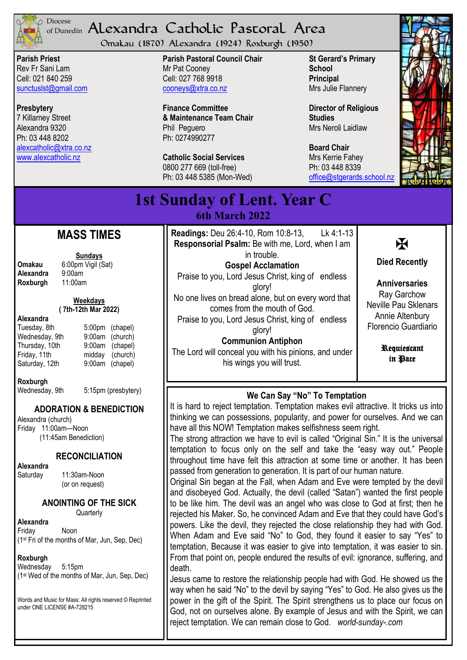

#### <sup>Diocese</sup> Alexandra Catholic Pastoral Area of Dunedin

Omakau (1870) Alexandra (1924) Roxburgh (1950)

**Parish Priest** Rev Fr Sani Lam Cell: 021 840 259 [sunctuslst@gmail.com](mailto:mailto:sunctuslst@gmail.com)

**Presbytery** 7 Killarney Street Alexandra 9320 Ph: 03 448 8202 [alexcatholic@xtra.co.nz](mailto:mailto:alexcatholic@xtra.co.nz) www.alexcatholic.nz

**Parish Pastoral Council Chair** Mr Pat Cooney Cell: 027 768 9918 cooneys@xtra.co.nz

**Finance Committee & Maintenance Team Chair** Phil Peguero Ph: 0274990277

**Catholic Social Services**  0800 277 669 (toll-free) Ph: 03 448 5385 (Mon-Wed) **St Gerard's Primary School Principal** Mrs Julie Flannery

**Director of Religious Studies** Mrs Neroli Laidlaw

**Board Chair** Mrs Kerrie Fahey Ph: 03 448 8339 [office@stgerards.school.nz](mailto:mailto:office@stgerards.school.nz)



**1st Sunday of Lent. Year C 6th March 2022**

# **MASS TIMES**

**Sundays**

**Omakau** 6:00pm Vigil (Sat)<br>**Alexandra** 9:00am **Alexandra** 9:00am<br>**Roxburgh** 11:00am **Roxburgh** 

**Weekdays ( 7th-12th Mar 2022)** 

## **Alexandra**

| Tuesday, 8th   | 5:00pm (chapel) |
|----------------|-----------------|
| Wednesday, 9th | 9:00am (church) |
| Thursday, 10th | 9:00am (chapel) |
| Friday, 11th   | midday (church) |
| Saturday, 12th | 9:00am (chapel) |
|                |                 |

**Roxburgh**

5:15pm (presbytery)

### **ADORATION & BENEDICTION**

Alexandra (church) Friday 11:00am—Noon (11:45am Benediction)

**RECONCILIATION**

**Alexandra** 

Saturday 11:30am-Noon (or on request)

### **ANOINTING OF THE SICK**

**Quarterly** 

**Alexandra** Friday Noon (1st Fri of the months of Mar, Jun, Sep, Dec)

#### **Roxburgh**

Wednesday 5:15pm (1st Wed of the months of Mar, Jun, Sep, Dec)

Words and Music for Mass: All rights reserved © Reprinted under ONE LICENSE #A-728215

**Readings:** Deu 26:4-10, Rom 10:8-13, Lk 4:1-13 **Responsorial Psalm:** Be with me, Lord, when I am in trouble. **Gospel Acclamation** Praise to you, Lord Jesus Christ, king of endless glory! No one lives on bread alone, but on every word that comes from the mouth of God. Praise to you, Lord Jesus Christ, king of endless

glory! **Communion Antiphon** The Lord will conceal you with his pinions, and under his wings you will trust.



**Died Recently**

**Anniversaries** Ray Garchow Neville Pau Sklenars Annie Altenbury Florencio Guardiario

> Requiescant in Pace

## **We Can Say "No" To Temptation**

It is hard to reject temptation. Temptation makes evil attractive. It tricks us into thinking we can possessions, popularity, and power for ourselves. And we can have all this NOW! Temptation makes selfishness seem right.

The strong attraction we have to evil is called "Original Sin." It is the universal temptation to focus only on the self and take the "easy way out." People throughout time have felt this attraction at some time or another. It has been passed from generation to generation. It is part of our human nature.

Original Sin began at the Fall, when Adam and Eve were tempted by the devil and disobeyed God. Actually, the devil (called "Satan") wanted the first people to be like him. The devil was an angel who was close to God at first; then he rejected his Maker. So, he convinced Adam and Eve that they could have God's powers. Like the devil, they rejected the close relationship they had with God. When Adam and Eve said "No" to God, they found it easier to say "Yes" to temptation, Because it was easier to give into temptation, it was easier to sin. From that point on, people endured the results of evil: ignorance, suffering, and death.

Jesus came to restore the relationship people had with God. He showed us the way when he said "No" to the devil by saying "Yes" to God. He also gives us the power in the gift of the Spirit. The Spirit strengthens us to place our focus on God, not on ourselves alone. By example of Jesus and with the Spirit, we can reject temptation. We can remain close to God. *world-sunday-.com*